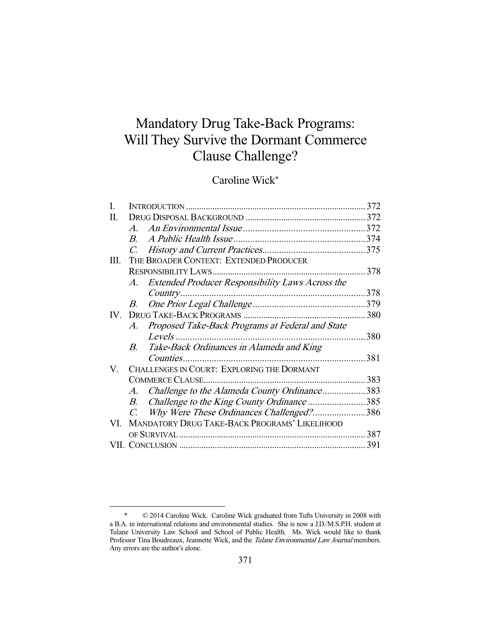# Mandatory Drug Take-Back Programs: Will They Survive the Dormant Commerce Clause Challenge?

## Caroline Wick\*

| I.  |                                                                 | 372  |
|-----|-----------------------------------------------------------------|------|
| П.  |                                                                 |      |
|     | $\overline{A}$                                                  |      |
|     | $\overline{B}$                                                  |      |
|     | $C_{\cdot}$                                                     |      |
| Ш.  | THE BROADER CONTEXT: EXTENDED PRODUCER                          |      |
|     | <b>RESPONSIBILITY LAWS</b>                                      | 378  |
|     | Extended Producer Responsibility Laws Across the<br>A.          |      |
|     | Country                                                         | 378  |
|     | В.                                                              |      |
| IV- |                                                                 |      |
|     | Proposed Take-Back Programs at Federal and State<br>$A_{\cdot}$ |      |
|     | Levels                                                          | 380  |
|     | Take-Back Ordinances in Alameda and King<br>B                   |      |
|     | Counties                                                        | 381  |
| V.  | CHALLENGES IN COURT: EXPLORING THE DORMANT                      |      |
|     | <b>COMMERCE CLAUSE.</b>                                         | 383  |
|     | Challenge to the Alameda County Ordinance383<br>A.              |      |
|     | Challenge to the King County Ordinance 385<br>$B_{\cdot}$       |      |
|     | Why Were These Ordinances Challenged?386<br>$C_{\cdot}$         |      |
| VI. | <b>MANDATORY DRUG TAKE-BACK PROGRAMS' LIKELIHOOD</b>            |      |
|     |                                                                 | .387 |
|     |                                                                 | 391  |
|     |                                                                 |      |

 <sup>\* © 2014</sup> Caroline Wick. Caroline Wick graduated from Tufts University in 2008 with a B.A. in international relations and environmental studies. She is now a J.D./M.S.P.H. student at Tulane University Law School and School of Public Health. Ms. Wick would like to thank Professor Tina Boudreaux, Jeannette Wick, and the Tulane Environmental Law Journal members. Any errors are the author's alone.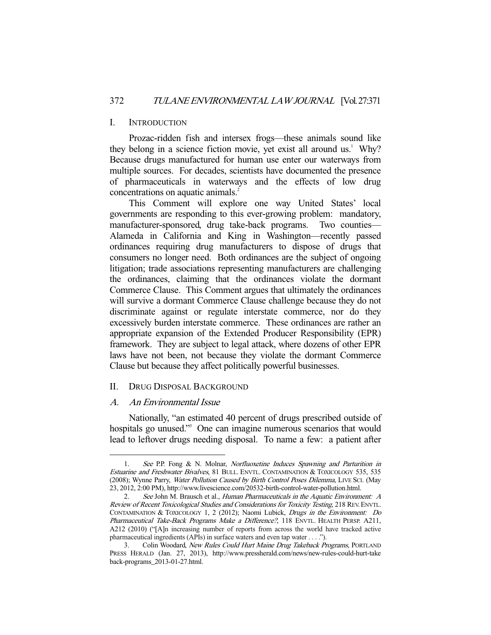#### I. INTRODUCTION

 Prozac-ridden fish and intersex frogs—these animals sound like they belong in a science fiction movie, yet exist all around us.<sup>1</sup> Why? Because drugs manufactured for human use enter our waterways from multiple sources. For decades, scientists have documented the presence of pharmaceuticals in waterways and the effects of low drug concentrations on aquatic animals.<sup>2</sup>

 This Comment will explore one way United States' local governments are responding to this ever-growing problem: mandatory, manufacturer-sponsored, drug take-back programs. Two counties— Alameda in California and King in Washington—recently passed ordinances requiring drug manufacturers to dispose of drugs that consumers no longer need. Both ordinances are the subject of ongoing litigation; trade associations representing manufacturers are challenging the ordinances, claiming that the ordinances violate the dormant Commerce Clause. This Comment argues that ultimately the ordinances will survive a dormant Commerce Clause challenge because they do not discriminate against or regulate interstate commerce, nor do they excessively burden interstate commerce. These ordinances are rather an appropriate expansion of the Extended Producer Responsibility (EPR) framework. They are subject to legal attack, where dozens of other EPR laws have not been, not because they violate the dormant Commerce Clause but because they affect politically powerful businesses.

#### II. DRUG DISPOSAL BACKGROUND

#### A. An Environmental Issue

-

 Nationally, "an estimated 40 percent of drugs prescribed outside of hospitals go unused."<sup>3</sup> One can imagine numerous scenarios that would lead to leftover drugs needing disposal. To name a few: a patient after

<sup>1.</sup> See P.P. Fong & N. Molnar, *Norfluoxetine Induces Spawning and Parturition in* Estuarine and Freshwater Bivalves, 81 BULL. ENVTL. CONTAMINATION & TOXICOLOGY 535, 535 (2008); Wynne Parry, Water Pollution Caused by Birth Control Poses Dilemma, LIVE SCI. (May 23, 2012, 2:00 PM), http://www.livescience.com/20532-birth-control-water-pollution.html.

<sup>2.</sup> See John M. Brausch et al., *Human Pharmaceuticals in the Aquatic Environment: A* Review of Recent Toxicological Studies and Considerations for Toxicity Testing, 218 REV.ENVTL. CONTAMINATION & TOXICOLOGY 1, 2 (2012); Naomi Lubick, Drugs in the Environment: Do Pharmaceutical Take-Back Programs Make a Difference?, 118 ENVTL. HEALTH PERSP. A211, A212 (2010) ("[A]n increasing number of reports from across the world have tracked active pharmaceutical ingredients (APIs) in surface waters and even tap water . . . .").

<sup>3.</sup> Colin Woodard, New Rules Could Hurt Maine Drug Takeback Programs, PORTLAND PRESS HERALD (Jan. 27, 2013), http://www.pressherald.com/news/new-rules-could-hurt-take back-programs\_2013-01-27.html.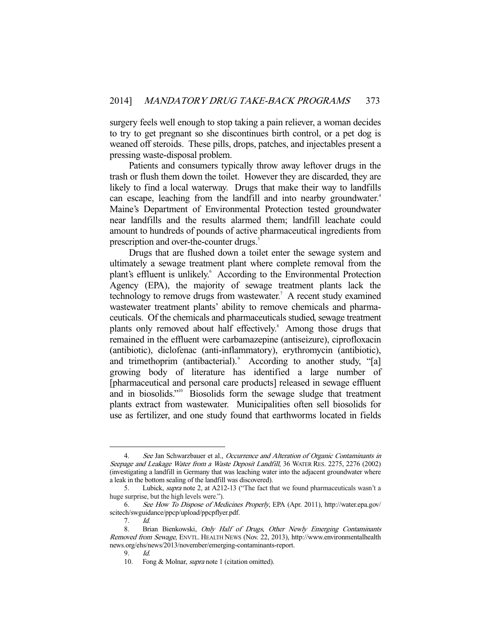surgery feels well enough to stop taking a pain reliever, a woman decides to try to get pregnant so she discontinues birth control, or a pet dog is weaned off steroids. These pills, drops, patches, and injectables present a pressing waste-disposal problem.

 Patients and consumers typically throw away leftover drugs in the trash or flush them down the toilet. However they are discarded, they are likely to find a local waterway. Drugs that make their way to landfills can escape, leaching from the landfill and into nearby groundwater.<sup>4</sup> Maine's Department of Environmental Protection tested groundwater near landfills and the results alarmed them; landfill leachate could amount to hundreds of pounds of active pharmaceutical ingredients from prescription and over-the-counter drugs.<sup>5</sup>

 Drugs that are flushed down a toilet enter the sewage system and ultimately a sewage treatment plant where complete removal from the plant's effluent is unlikely.<sup>6</sup> According to the Environmental Protection Agency (EPA), the majority of sewage treatment plants lack the technology to remove drugs from wastewater.<sup>7</sup> A recent study examined wastewater treatment plants' ability to remove chemicals and pharmaceuticals. Of the chemicals and pharmaceuticals studied, sewage treatment plants only removed about half effectively.<sup>8</sup> Among those drugs that remained in the effluent were carbamazepine (antiseizure), ciprofloxacin (antibiotic), diclofenac (anti-inflammatory), erythromycin (antibiotic), and trimethoprim (antibacterial).<sup>9</sup> According to another study, "[a] growing body of literature has identified a large number of [pharmaceutical and personal care products] released in sewage effluent and in biosolids."10 Biosolids form the sewage sludge that treatment plants extract from wastewater. Municipalities often sell biosolids for use as fertilizer, and one study found that earthworms located in fields

<sup>4.</sup> See Jan Schwarzbauer et al., Occurrence and Alteration of Organic Contaminants in Seepage and Leakage Water from a Waste Deposit Landfill, 36 WATER RES. 2275, 2276 (2002) (investigating a landfill in Germany that was leaching water into the adjacent groundwater where a leak in the bottom sealing of the landfill was discovered).

<sup>5.</sup> Lubick, *supra* note 2, at A212-13 ("The fact that we found pharmaceuticals wasn't a huge surprise, but the high levels were.").

 <sup>6.</sup> See How To Dispose of Medicines Properly, EPA (Apr. 2011), http://water.epa.gov/ scitech/swguidance/ppcp/upload/ppcpflyer.pdf.

 <sup>7.</sup> Id.

<sup>8.</sup> Brian Bienkowski, Only Half of Drugs, Other Newly Emerging Contaminants Removed from Sewage, ENVTL. HEALTH NEWS (Nov. 22, 2013), http://www.environmentalhealth news.org/ehs/news/2013/november/emerging-contaminants-report.

 $9$  Id.

 <sup>10.</sup> Fong & Molnar, supra note 1 (citation omitted).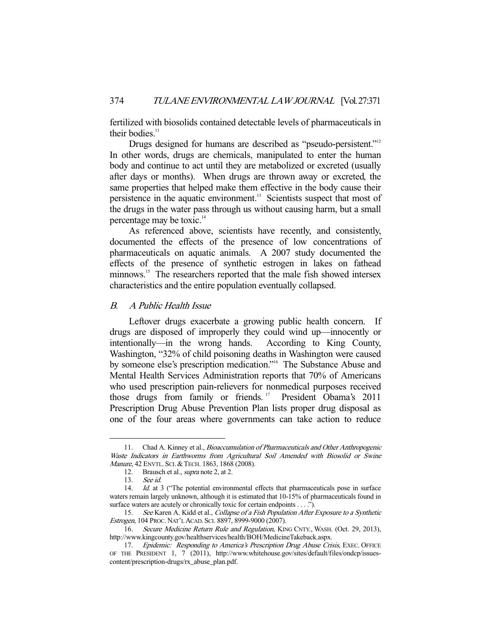fertilized with biosolids contained detectable levels of pharmaceuticals in their bodies. $11$ 

Drugs designed for humans are described as "pseudo-persistent."<sup>12</sup> In other words, drugs are chemicals, manipulated to enter the human body and continue to act until they are metabolized or excreted (usually after days or months). When drugs are thrown away or excreted, the same properties that helped make them effective in the body cause their persistence in the aquatic environment.<sup>13</sup> Scientists suspect that most of the drugs in the water pass through us without causing harm, but a small percentage may be toxic.14

 As referenced above, scientists have recently, and consistently, documented the effects of the presence of low concentrations of pharmaceuticals on aquatic animals. A 2007 study documented the effects of the presence of synthetic estrogen in lakes on fathead minnows.<sup>15</sup> The researchers reported that the male fish showed intersex characteristics and the entire population eventually collapsed.

## B. A Public Health Issue

 Leftover drugs exacerbate a growing public health concern. If drugs are disposed of improperly they could wind up—innocently or intentionally—in the wrong hands. According to King County, Washington, "32% of child poisoning deaths in Washington were caused by someone else's prescription medication."<sup>16</sup> The Substance Abuse and Mental Health Services Administration reports that 70% of Americans who used prescription pain-relievers for nonmedical purposes received those drugs from family or friends.<sup>17</sup> President Obama's 2011 Prescription Drug Abuse Prevention Plan lists proper drug disposal as one of the four areas where governments can take action to reduce

<sup>11.</sup> Chad A. Kinney et al., Bioaccumulation of Pharmaceuticals and Other Anthropogenic Waste Indicators in Earthworms from Agricultural Soil Amended with Biosolid or Swine Manure, 42 ENVTL. SCI. & TECH. 1863, 1868 (2008).

<sup>12.</sup> Brausch et al., *supra* note 2, at 2.

 <sup>13.</sup> See id.

<sup>14.</sup> Id. at 3 ("The potential environmental effects that pharmaceuticals pose in surface waters remain largely unknown, although it is estimated that 10-15% of pharmaceuticals found in surface waters are acutely or chronically toxic for certain endpoints . . . .").

 <sup>15.</sup> See Karen A. Kidd et al., Collapse of a Fish Population After Exposure to a Synthetic Estrogen, 104 PROC. NAT'L ACAD. SCI. 8897, 8999-9000 (2007).

<sup>16.</sup> Secure Medicine Return Rule and Regulation, KING CNTY., WASH. (Oct. 29, 2013), http://www.kingcounty.gov/healthservices/health/BOH/MedicineTakeback.aspx.

<sup>17.</sup> Epidemic: Responding to America's Prescription Drug Abuse Crisis, EXEC. OFFICE OF THE PRESIDENT 1, 7 (2011), http://www.whitehouse.gov/sites/default/files/ondcp/issuescontent/prescription-drugs/rx\_abuse\_plan.pdf.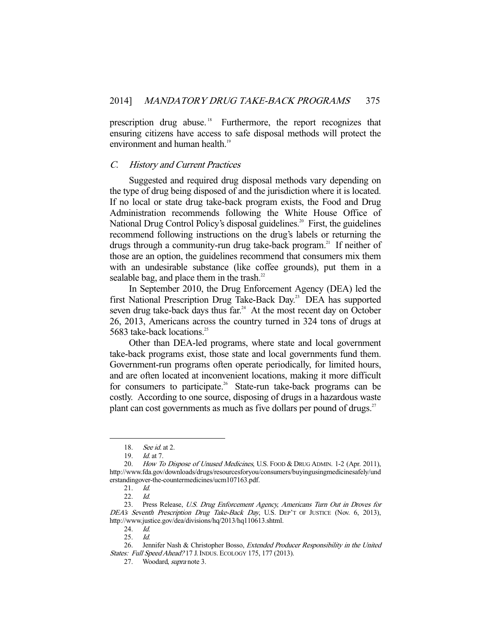prescription drug abuse.<sup>18</sup> Furthermore, the report recognizes that ensuring citizens have access to safe disposal methods will protect the environment and human health.<sup>19</sup>

## C. History and Current Practices

 Suggested and required drug disposal methods vary depending on the type of drug being disposed of and the jurisdiction where it is located. If no local or state drug take-back program exists, the Food and Drug Administration recommends following the White House Office of National Drug Control Policy's disposal guidelines.<sup>20</sup> First, the guidelines recommend following instructions on the drug's labels or returning the drugs through a community-run drug take-back program.<sup>21</sup> If neither of those are an option, the guidelines recommend that consumers mix them with an undesirable substance (like coffee grounds), put them in a sealable bag, and place them in the trash. $^{22}$ 

 In September 2010, the Drug Enforcement Agency (DEA) led the first National Prescription Drug Take-Back Day.<sup>23</sup> DEA has supported seven drug take-back days thus  $far<sup>24</sup>$ . At the most recent day on October 26, 2013, Americans across the country turned in 324 tons of drugs at 5683 take-back locations.<sup>25</sup>

 Other than DEA-led programs, where state and local government take-back programs exist, those state and local governments fund them. Government-run programs often operate periodically, for limited hours, and are often located at inconvenient locations, making it more difficult for consumers to participate.<sup>26</sup> State-run take-back programs can be costly. According to one source, disposing of drugs in a hazardous waste plant can cost governments as much as five dollars per pound of drugs.<sup>27</sup>

<sup>18.</sup> *See id.* at 2.

 <sup>19.</sup> Id. at 7.

<sup>20.</sup> How To Dispose of Unused Medicines, U.S. FOOD & DRUG ADMIN. 1-2 (Apr. 2011), http://www.fda.gov/downloads/drugs/resourcesforyou/consumers/buyingusingmedicinesafely/und erstandingover-the-countermedicines/ucm107163.pdf.

 <sup>21.</sup> Id.

 <sup>22.</sup> Id.

 <sup>23.</sup> Press Release, U.S. Drug Enforcement Agency, Americans Turn Out in Droves for DEA's Seventh Prescription Drug Take-Back Day, U.S. DEP'T OF JUSTICE (Nov. 6, 2013), http://www.justice.gov/dea/divisions/hq/2013/hq110613.shtml.

 <sup>24.</sup> Id.

 <sup>25.</sup> Id.

<sup>26.</sup> Jennifer Nash & Christopher Bosso, Extended Producer Responsibility in the United States: Full Speed Ahead? 17 J. INDUS. ECOLOGY 175, 177 (2013).

 <sup>27.</sup> Woodard, supra note 3.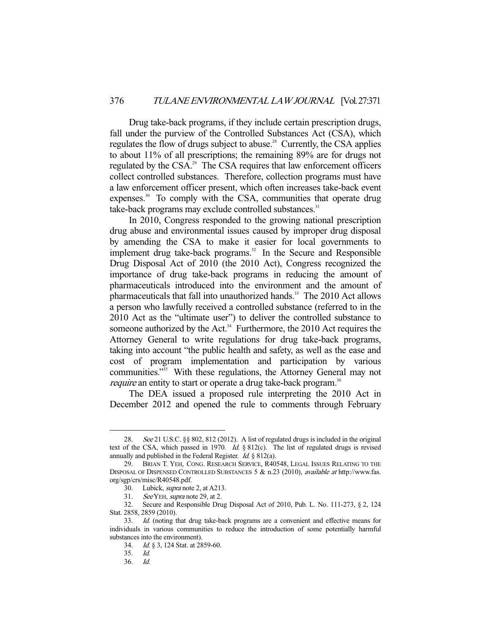Drug take-back programs, if they include certain prescription drugs, fall under the purview of the Controlled Substances Act (CSA), which regulates the flow of drugs subject to abuse.<sup>28</sup> Currently, the CSA applies to about 11% of all prescriptions; the remaining 89% are for drugs not regulated by the CSA.<sup>29</sup> The CSA requires that law enforcement officers collect controlled substances. Therefore, collection programs must have a law enforcement officer present, which often increases take-back event expenses.<sup>30</sup> To comply with the CSA, communities that operate drug take-back programs may exclude controlled substances.<sup>31</sup>

 In 2010, Congress responded to the growing national prescription drug abuse and environmental issues caused by improper drug disposal by amending the CSA to make it easier for local governments to implement drug take-back programs. $32$  In the Secure and Responsible Drug Disposal Act of 2010 (the 2010 Act), Congress recognized the importance of drug take-back programs in reducing the amount of pharmaceuticals introduced into the environment and the amount of pharmaceuticals that fall into unauthorized hands.<sup>33</sup> The 2010 Act allows a person who lawfully received a controlled substance (referred to in the 2010 Act as the "ultimate user") to deliver the controlled substance to someone authorized by the Act. $34$  Furthermore, the 2010 Act requires the Attorney General to write regulations for drug take-back programs, taking into account "the public health and safety, as well as the ease and cost of program implementation and participation by various communities."<sup>35</sup> With these regulations, the Attorney General may not require an entity to start or operate a drug take-back program.<sup>36</sup>

 The DEA issued a proposed rule interpreting the 2010 Act in December 2012 and opened the rule to comments through February

See 21 U.S.C. §§ 802, 812 (2012). A list of regulated drugs is included in the original text of the CSA, which passed in 1970. Id. § 812(c). The list of regulated drugs is revised annually and published in the Federal Register. Id. § 812(a).

 <sup>29.</sup> BRIAN T. YEH, CONG. RESEARCH SERVICE, R40548, LEGAL ISSUES RELATING TO THE DISPOSAL OF DISPENSED CONTROLLED SUBSTANCES 5 & n.23 (2010), available at http://www.fas. org/sgp/crs/misc/R40548.pdf.

 <sup>30.</sup> Lubick, supra note 2, at A213.

<sup>31.</sup> See YEH, supra note 29, at 2.

 <sup>32.</sup> Secure and Responsible Drug Disposal Act of 2010, Pub. L. No. 111-273, § 2, 124 Stat. 2858, 2859 (2010).

 <sup>33.</sup> Id. (noting that drug take-back programs are a convenient and effective means for individuals in various communities to reduce the introduction of some potentially harmful substances into the environment).

 <sup>34.</sup> Id. § 3, 124 Stat. at 2859-60.

 <sup>35.</sup> Id.

 <sup>36.</sup> Id.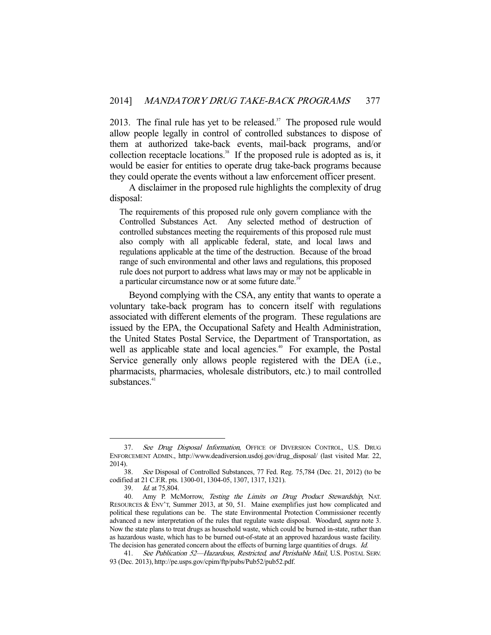2013. The final rule has yet to be released. $37$  The proposed rule would allow people legally in control of controlled substances to dispose of them at authorized take-back events, mail-back programs, and/or collection receptacle locations.<sup>38</sup> If the proposed rule is adopted as is, it would be easier for entities to operate drug take-back programs because they could operate the events without a law enforcement officer present.

 A disclaimer in the proposed rule highlights the complexity of drug disposal:

The requirements of this proposed rule only govern compliance with the Controlled Substances Act. Any selected method of destruction of controlled substances meeting the requirements of this proposed rule must also comply with all applicable federal, state, and local laws and regulations applicable at the time of the destruction. Because of the broad range of such environmental and other laws and regulations, this proposed rule does not purport to address what laws may or may not be applicable in a particular circumstance now or at some future date.<sup>39</sup>

 Beyond complying with the CSA, any entity that wants to operate a voluntary take-back program has to concern itself with regulations associated with different elements of the program. These regulations are issued by the EPA, the Occupational Safety and Health Administration, the United States Postal Service, the Department of Transportation, as well as applicable state and local agencies.<sup>40</sup> For example, the Postal Service generally only allows people registered with the DEA (i.e., pharmacists, pharmacies, wholesale distributors, etc.) to mail controlled substances $41$ 

<sup>37.</sup> See Drug Disposal Information, OFFICE OF DIVERSION CONTROL, U.S. DRUG ENFORCEMENT ADMIN., http://www.deadiversion.usdoj.gov/drug\_disposal/ (last visited Mar. 22, 2014).

 <sup>38.</sup> See Disposal of Controlled Substances, 77 Fed. Reg. 75,784 (Dec. 21, 2012) (to be codified at 21 C.F.R. pts. 1300-01, 1304-05, 1307, 1317, 1321).

<sup>39.</sup> *Id.* at 75,804.<br>40. Amy P. Mc

Amy P. McMorrow, Testing the Limits on Drug Product Stewardship, NAT. RESOURCES & ENV'T, Summer 2013, at 50, 51. Maine exemplifies just how complicated and political these regulations can be. The state Environmental Protection Commissioner recently advanced a new interpretation of the rules that regulate waste disposal. Woodard, supra note 3. Now the state plans to treat drugs as household waste, which could be burned in-state, rather than as hazardous waste, which has to be burned out-of-state at an approved hazardous waste facility. The decision has generated concern about the effects of burning large quantities of drugs. Id.

<sup>41.</sup> See Publication 52-Hazardous, Restricted, and Perishable Mail, U.S. POSTAL SERV. 93 (Dec. 2013), http://pe.usps.gov/cpim/ftp/pubs/Pub52/pub52.pdf.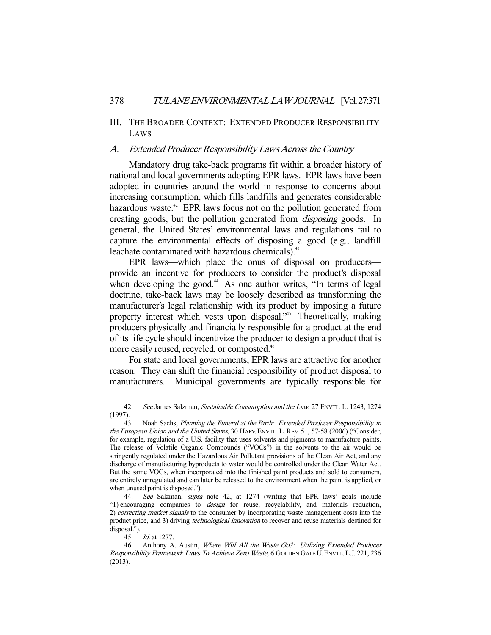## III. THE BROADER CONTEXT: EXTENDED PRODUCER RESPONSIBILITY LAWS

## A. Extended Producer Responsibility Laws Across the Country

 Mandatory drug take-back programs fit within a broader history of national and local governments adopting EPR laws. EPR laws have been adopted in countries around the world in response to concerns about increasing consumption, which fills landfills and generates considerable hazardous waste.<sup>42</sup> EPR laws focus not on the pollution generated from creating goods, but the pollution generated from disposing goods. In general, the United States' environmental laws and regulations fail to capture the environmental effects of disposing a good (e.g., landfill leachate contaminated with hazardous chemicals).<sup>43</sup>

 EPR laws—which place the onus of disposal on producers provide an incentive for producers to consider the product's disposal when developing the good.<sup>44</sup> As one author writes, "In terms of legal doctrine, take-back laws may be loosely described as transforming the manufacturer's legal relationship with its product by imposing a future property interest which vests upon disposal."<sup>45</sup> Theoretically, making producers physically and financially responsible for a product at the end of its life cycle should incentivize the producer to design a product that is more easily reused, recycled, or composted.<sup>46</sup>

 For state and local governments, EPR laws are attractive for another reason. They can shift the financial responsibility of product disposal to manufacturers. Municipal governments are typically responsible for

<sup>42.</sup> See James Salzman, Sustainable Consumption and the Law, 27 ENVTL. L. 1243, 1274 (1997).

<sup>43.</sup> Noah Sachs, Planning the Funeral at the Birth: Extended Producer Responsibility in the European Union and the United States, 30 HARV. ENVTL. L. REV. 51, 57-58 (2006) ("Consider, for example, regulation of a U.S. facility that uses solvents and pigments to manufacture paints. The release of Volatile Organic Compounds ("VOCs") in the solvents to the air would be stringently regulated under the Hazardous Air Pollutant provisions of the Clean Air Act, and any discharge of manufacturing byproducts to water would be controlled under the Clean Water Act. But the same VOCs, when incorporated into the finished paint products and sold to consumers, are entirely unregulated and can later be released to the environment when the paint is applied, or when unused paint is disposed.").

 <sup>44.</sup> See Salzman, supra note 42, at 1274 (writing that EPR laws' goals include "1) encouraging companies to design for reuse, recyclability, and materials reduction, 2) correcting market signals to the consumer by incorporating waste management costs into the product price, and 3) driving *technological innovation* to recover and reuse materials destined for disposal.").

 <sup>45.</sup> Id. at 1277.

<sup>46.</sup> Anthony A. Austin, Where Will All the Waste Go?: Utilizing Extended Producer Responsibility Framework Laws To Achieve Zero Waste, 6 GOLDEN GATE U.ENVTL.L.J. 221, 236 (2013).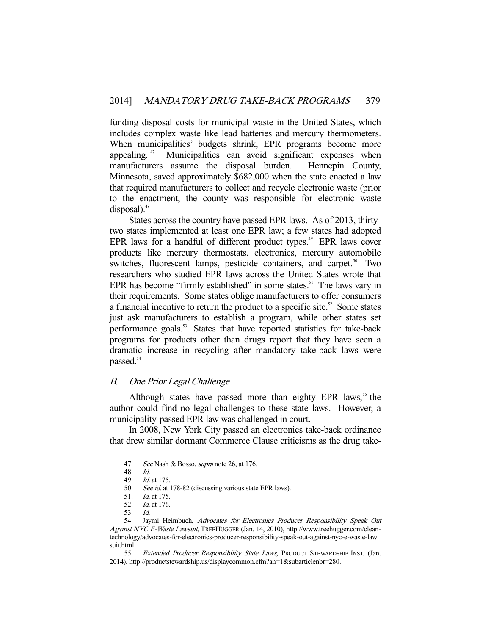funding disposal costs for municipal waste in the United States, which includes complex waste like lead batteries and mercury thermometers. When municipalities' budgets shrink, EPR programs become more appealing. 47 Municipalities can avoid significant expenses when manufacturers assume the disposal burden. Hennepin County, Minnesota, saved approximately \$682,000 when the state enacted a law that required manufacturers to collect and recycle electronic waste (prior to the enactment, the county was responsible for electronic waste  $disposal$ ).<sup>48</sup>

 States across the country have passed EPR laws. As of 2013, thirtytwo states implemented at least one EPR law; a few states had adopted EPR laws for a handful of different product types.<sup>49</sup> EPR laws cover products like mercury thermostats, electronics, mercury automobile switches, fluorescent lamps, pesticide containers, and carpet.<sup>50</sup> Two researchers who studied EPR laws across the United States wrote that EPR has become "firmly established" in some states. $51$  The laws vary in their requirements. Some states oblige manufacturers to offer consumers a financial incentive to return the product to a specific site. $52$  Some states just ask manufacturers to establish a program, while other states set performance goals.<sup>53</sup> States that have reported statistics for take-back programs for products other than drugs report that they have seen a dramatic increase in recycling after mandatory take-back laws were passed.<sup>54</sup>

## B. One Prior Legal Challenge

Although states have passed more than eighty EPR laws, $55$  the author could find no legal challenges to these state laws. However, a municipality-passed EPR law was challenged in court.

 In 2008, New York City passed an electronics take-back ordinance that drew similar dormant Commerce Clause criticisms as the drug take-

<sup>47.</sup> See Nash & Bosso, *supra* note 26, at 176.

 <sup>48.</sup> Id.

 <sup>49.</sup> Id. at 175.

<sup>50.</sup> See id. at 178-82 (discussing various state EPR laws).

<sup>51.</sup> *Id.* at 175.<br>52. *Id.* at 176.

*Id.* at 176.

 <sup>53.</sup> Id.

<sup>54.</sup> Jaymi Heimbuch, Advocates for Electronics Producer Responsibility Speak Out Against NYC E-Waste Lawsuit, TREEHUGGER (Jan. 14, 2010), http://www.treehugger.com/cleantechnology/advocates-for-electronics-producer-responsibility-speak-out-against-nyc-e-waste-law suit.html.

<sup>55.</sup> Extended Producer Responsibility State Laws, PRODUCT STEWARDSHIP INST. (Jan. 2014), http://productstewardship.us/displaycommon.cfm?an=1&subarticlenbr=280.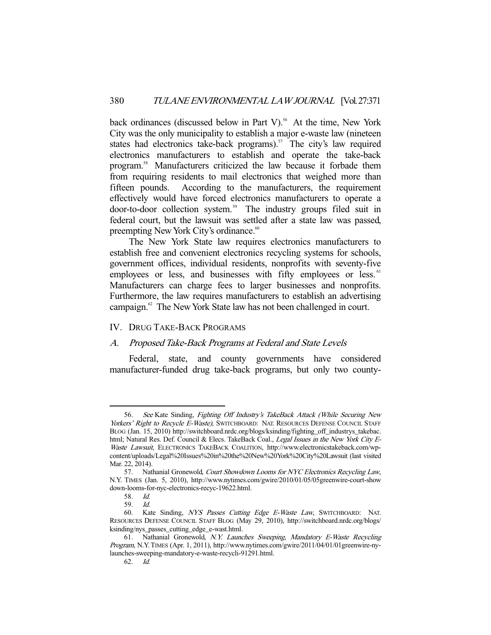back ordinances (discussed below in Part V).<sup>56</sup> At the time, New York City was the only municipality to establish a major e-waste law (nineteen states had electronics take-back programs).<sup>57</sup> The city's law required electronics manufacturers to establish and operate the take-back program.58 Manufacturers criticized the law because it forbade them from requiring residents to mail electronics that weighed more than fifteen pounds. According to the manufacturers, the requirement effectively would have forced electronics manufacturers to operate a door-to-door collection system.<sup>59</sup> The industry groups filed suit in federal court, but the lawsuit was settled after a state law was passed, preempting New York City's ordinance.<sup>60</sup>

 The New York State law requires electronics manufacturers to establish free and convenient electronics recycling systems for schools, government offices, individual residents, nonprofits with seventy-five employees or less, and businesses with fifty employees or less.<sup>61</sup> Manufacturers can charge fees to larger businesses and nonprofits. Furthermore, the law requires manufacturers to establish an advertising campaign.<sup>62</sup> The New York State law has not been challenged in court.

## IV. DRUG TAKE-BACK PROGRAMS

## A. Proposed Take-Back Programs at Federal and State Levels

 Federal, state, and county governments have considered manufacturer-funded drug take-back programs, but only two county-

 <sup>56.</sup> See Kate Sinding, Fighting Off Industry's TakeBack Attack (While Securing New Yorkers' Right to Recycle E-Waste), SWITCHBOARD: NAT. RESOURCES DEFENSE COUNCIL STAFF BLOG (Jan. 15, 2010) http://switchboard.nrdc.org/blogs/ksinding/fighting\_off\_industrys\_takebac. html; Natural Res. Def. Council & Elecs. TakeBack Coal., Legal Issues in the New York City E-Waste Lawsuit, ELECTRONICS TAKEBACK COALITION, http://www.electronicstakeback.com/wpcontent/uploads/Legal%20Issues%20in%20the%20New%20York%20City%20Lawsuit (last visited Mar. 22, 2014).

<sup>57.</sup> Nathanial Gronewold, Court Showdown Looms for NYC Electronics Recycling Law, N.Y. TIMES (Jan. 5, 2010), http://www.nytimes.com/gwire/2010/01/05/05greenwire-court-show down-looms-for-nyc-electronics-recyc-19622.html.

 <sup>58.</sup> Id.

 <sup>59.</sup> Id.

 <sup>60.</sup> Kate Sinding, NYS Passes Cutting Edge E-Waste Law, SWITCHBOARD: NAT. RESOURCES DEFENSE COUNCIL STAFF BLOG (May 29, 2010), http://switchboard.nrdc.org/blogs/ ksinding/nys\_passes\_cutting\_edge\_e-wast.html.

<sup>61.</sup> Nathanial Gronewold, N.Y. Launches Sweeping, Mandatory E-Waste Recycling Program, N.Y.TIMES (Apr. 1, 2011), http://www.nytimes.com/gwire/2011/04/01/01greenwire-nylaunches-sweeping-mandatory-e-waste-recycli-91291.html.

 <sup>62.</sup> Id.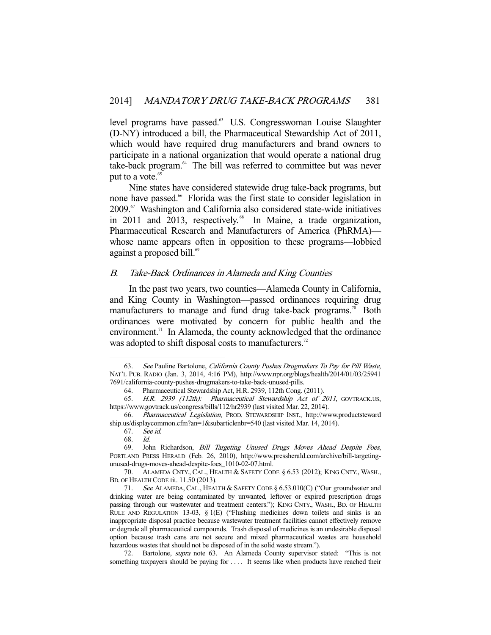level programs have passed.<sup>63</sup> U.S. Congresswoman Louise Slaughter (D-NY) introduced a bill, the Pharmaceutical Stewardship Act of 2011, which would have required drug manufacturers and brand owners to participate in a national organization that would operate a national drug take-back program.<sup>64</sup> The bill was referred to committee but was never put to a vote.<sup>65</sup>

 Nine states have considered statewide drug take-back programs, but none have passed.<sup>66</sup> Florida was the first state to consider legislation in 2009.67 Washington and California also considered state-wide initiatives in 2011 and 2013, respectively.<sup>68</sup> In Maine, a trade organization, Pharmaceutical Research and Manufacturers of America (PhRMA) whose name appears often in opposition to these programs—lobbied against a proposed bill.<sup>69</sup>

## B. Take-Back Ordinances in Alameda and King Counties

 In the past two years, two counties—Alameda County in California, and King County in Washington—passed ordinances requiring drug manufacturers to manage and fund drug take-back programs.<sup>70</sup> Both ordinances were motivated by concern for public health and the environment.<sup>71</sup> In Alameda, the county acknowledged that the ordinance was adopted to shift disposal costs to manufacturers.<sup>72</sup>

-

 70. ALAMEDA CNTY., CAL., HEALTH & SAFETY CODE § 6.53 (2012); KING CNTY., WASH., BD. OF HEALTH CODE tit. 11.50 (2013).

72. Bartolone, *supra* note 63. An Alameda County supervisor stated: "This is not something taxpayers should be paying for .... It seems like when products have reached their

 <sup>63.</sup> See Pauline Bartolone, California County Pushes Drugmakers To Pay for Pill Waste, NAT'L PUB. RADIO (Jan. 3, 2014, 4:16 PM), http://www.npr.org/blogs/health/2014/01/03/25941 7691/california-county-pushes-drugmakers-to-take-back-unused-pills.

 <sup>64.</sup> Pharmaceutical Stewardship Act, H.R. 2939, 112th Cong. (2011).

 <sup>65.</sup> H.R. 2939 (112th): Pharmaceutical Stewardship Act of 2011, GOVTRACK.US, https://www.govtrack.us/congress/bills/112/hr2939 (last visited Mar. 22, 2014).

 <sup>66.</sup> Pharmaceutical Legislation, PROD. STEWARDSHIP INST., http://www.productsteward ship.us/displaycommon.cfm?an=1&subarticlenbr=540 (last visited Mar. 14, 2014).

 <sup>67.</sup> See id.

 <sup>68.</sup> Id.

 <sup>69.</sup> John Richardson, Bill Targeting Unused Drugs Moves Ahead Despite Foes, PORTLAND PRESS HERALD (Feb. 26, 2010), http://www.pressherald.com/archive/bill-targetingunused-drugs-moves-ahead-despite-foes\_1010-02-07.html.

 <sup>71.</sup> See ALAMEDA, CAL., HEALTH & SAFETY CODE § 6.53.010(C) ("Our groundwater and drinking water are being contaminated by unwanted, leftover or expired prescription drugs passing through our wastewater and treatment centers."); KING CNTY., WASH., BD. OF HEALTH RULE AND REGULATION 13-03, § 1(E) ("Flushing medicines down toilets and sinks is an inappropriate disposal practice because wastewater treatment facilities cannot effectively remove or degrade all pharmaceutical compounds. Trash disposal of medicines is an undesirable disposal option because trash cans are not secure and mixed pharmaceutical wastes are household hazardous wastes that should not be disposed of in the solid waste stream.").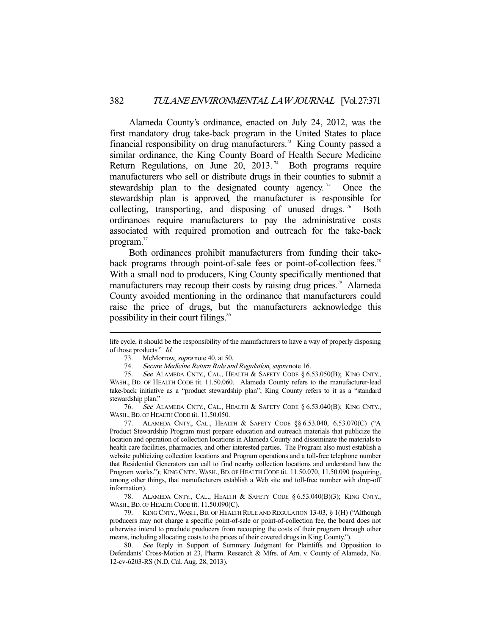Alameda County's ordinance, enacted on July 24, 2012, was the first mandatory drug take-back program in the United States to place financial responsibility on drug manufacturers.<sup>73</sup> King County passed a similar ordinance, the King County Board of Health Secure Medicine Return Regulations, on June  $20$ ,  $2013$ .<sup>74</sup> Both programs require manufacturers who sell or distribute drugs in their counties to submit a stewardship plan to the designated county agency.<sup>75</sup> Once the stewardship plan is approved, the manufacturer is responsible for collecting, transporting, and disposing of unused drugs.<sup>76</sup> Both ordinances require manufacturers to pay the administrative costs associated with required promotion and outreach for the take-back program.<sup>77</sup>

 Both ordinances prohibit manufacturers from funding their takeback programs through point-of-sale fees or point-of-collection fees.<sup>78</sup> With a small nod to producers, King County specifically mentioned that manufacturers may recoup their costs by raising drug prices.<sup>79</sup> Alameda County avoided mentioning in the ordinance that manufacturers could raise the price of drugs, but the manufacturers acknowledge this possibility in their court filings.<sup>80</sup>

-

 76. See ALAMEDA CNTY., CAL., HEALTH & SAFETY CODE § 6.53.040(B); KING CNTY., WASH., BD. OF HEALTH CODE tit. 11.50.050.

 77. ALAMEDA CNTY., CAL., HEALTH & SAFETY CODE §§ 6.53.040, 6.53.070(C) ("A Product Stewardship Program must prepare education and outreach materials that publicize the location and operation of collection locations in Alameda County and disseminate the materials to health care facilities, pharmacies, and other interested parties. The Program also must establish a website publicizing collection locations and Program operations and a toll-free telephone number that Residential Generators can call to find nearby collection locations and understand how the Program works."); KING CNTY., WASH., BD. OF HEALTH CODE tit. 11.50.070, 11.50.090 (requiring, among other things, that manufacturers establish a Web site and toll-free number with drop-off information).

 78. ALAMEDA CNTY., CAL., HEALTH & SAFETY CODE § 6.53.040(B)(3); KING CNTY., WASH., BD. OF HEALTH CODE tit. 11.50.090(C).

 79. KING CNTY.,WASH.,BD. OF HEALTH RULE AND REGULATION 13-03, § 1(H) ("Although producers may not charge a specific point-of-sale or point-of-collection fee, the board does not otherwise intend to preclude producers from recouping the costs of their program through other means, including allocating costs to the prices of their covered drugs in King County.").

 80. See Reply in Support of Summary Judgment for Plaintiffs and Opposition to Defendants' Cross-Motion at 23, Pharm. Research & Mfrs. of Am. v. County of Alameda, No. 12-cv-6203-RS (N.D. Cal. Aug. 28, 2013).

life cycle, it should be the responsibility of the manufacturers to have a way of properly disposing of those products." Id.

<sup>73.</sup> McMorrow, *supra* note 40, at 50.

<sup>74.</sup> Secure Medicine Return Rule and Regulation, supra note 16.

 <sup>75.</sup> See ALAMEDA CNTY., CAL., HEALTH & SAFETY CODE § 6.53.050(B); KING CNTY., WASH., BD. OF HEALTH CODE tit. 11.50.060. Alameda County refers to the manufacturer-lead take-back initiative as a "product stewardship plan"; King County refers to it as a "standard stewardship plan."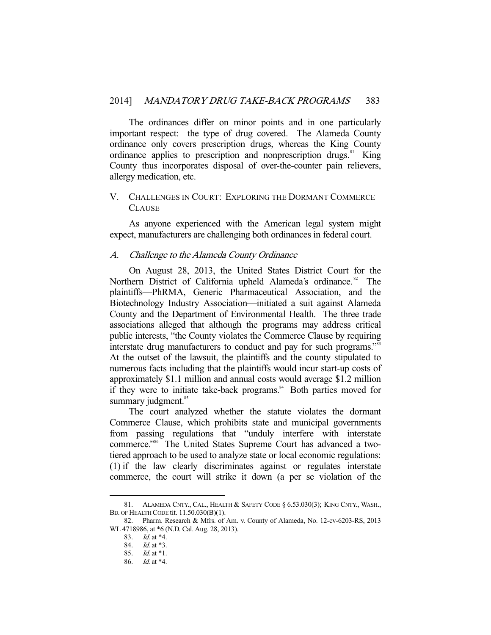The ordinances differ on minor points and in one particularly important respect: the type of drug covered. The Alameda County ordinance only covers prescription drugs, whereas the King County ordinance applies to prescription and nonprescription drugs. $81$  King County thus incorporates disposal of over-the-counter pain relievers, allergy medication, etc.

## V. CHALLENGES IN COURT: EXPLORING THE DORMANT COMMERCE **CLAUSE**

 As anyone experienced with the American legal system might expect, manufacturers are challenging both ordinances in federal court.

#### A. Challenge to the Alameda County Ordinance

 On August 28, 2013, the United States District Court for the Northern District of California upheld Alameda's ordinance.<sup>82</sup> The plaintiffs—PhRMA, Generic Pharmaceutical Association, and the Biotechnology Industry Association—initiated a suit against Alameda County and the Department of Environmental Health. The three trade associations alleged that although the programs may address critical public interests, "the County violates the Commerce Clause by requiring interstate drug manufacturers to conduct and pay for such programs."<sup>83</sup> At the outset of the lawsuit, the plaintiffs and the county stipulated to numerous facts including that the plaintiffs would incur start-up costs of approximately \$1.1 million and annual costs would average \$1.2 million if they were to initiate take-back programs.<sup>84</sup> Both parties moved for summary judgment.<sup>85</sup>

 The court analyzed whether the statute violates the dormant Commerce Clause, which prohibits state and municipal governments from passing regulations that "unduly interfere with interstate commerce."86 The United States Supreme Court has advanced a twotiered approach to be used to analyze state or local economic regulations: (1) if the law clearly discriminates against or regulates interstate commerce, the court will strike it down (a per se violation of the

 <sup>81.</sup> ALAMEDA CNTY., CAL., HEALTH & SAFETY CODE § 6.53.030(3); KING CNTY., WASH., BD. OF HEALTH CODE tit. 11.50.030(B)(1).

 <sup>82.</sup> Pharm. Research & Mfrs. of Am. v. County of Alameda, No. 12-cv-6203-RS, 2013 WL 4718986, at \*6 (N.D. Cal. Aug. 28, 2013).

 <sup>83.</sup> Id. at \*4.

 <sup>84.</sup> Id. at \*3.

 <sup>85.</sup> Id. at \*1.

 <sup>86.</sup> Id. at \*4.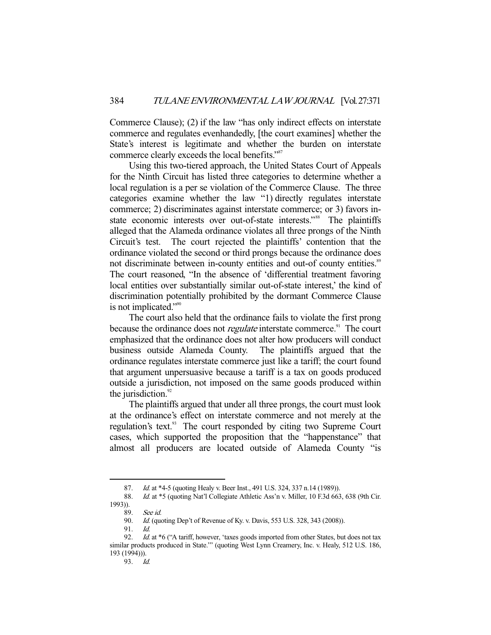Commerce Clause); (2) if the law "has only indirect effects on interstate commerce and regulates evenhandedly, [the court examines] whether the State's interest is legitimate and whether the burden on interstate commerce clearly exceeds the local benefits."<sup>87</sup>

 Using this two-tiered approach, the United States Court of Appeals for the Ninth Circuit has listed three categories to determine whether a local regulation is a per se violation of the Commerce Clause. The three categories examine whether the law "1) directly regulates interstate commerce; 2) discriminates against interstate commerce; or 3) favors instate economic interests over out-of-state interests."<sup>88</sup> The plaintiffs alleged that the Alameda ordinance violates all three prongs of the Ninth Circuit's test. The court rejected the plaintiffs' contention that the ordinance violated the second or third prongs because the ordinance does not discriminate between in-county entities and out-of county entities.<sup>89</sup> The court reasoned, "In the absence of 'differential treatment favoring local entities over substantially similar out-of-state interest,' the kind of discrimination potentially prohibited by the dormant Commerce Clause is not implicated."<sup>90</sup>

 The court also held that the ordinance fails to violate the first prong because the ordinance does not *regulate* interstate commerce.<sup>91</sup> The court emphasized that the ordinance does not alter how producers will conduct business outside Alameda County. The plaintiffs argued that the ordinance regulates interstate commerce just like a tariff; the court found that argument unpersuasive because a tariff is a tax on goods produced outside a jurisdiction, not imposed on the same goods produced within the jurisdiction. $92$ 

 The plaintiffs argued that under all three prongs, the court must look at the ordinance's effect on interstate commerce and not merely at the regulation's text.<sup>93</sup> The court responded by citing two Supreme Court cases, which supported the proposition that the "happenstance" that almost all producers are located outside of Alameda County "is

-

91. Id.

93. Id.

<sup>87.</sup> Id. at \*4-5 (quoting Healy v. Beer Inst., 491 U.S. 324, 337 n.14 (1989)).

<sup>88.</sup> Id. at \*5 (quoting Nat'l Collegiate Athletic Ass'n v. Miller, 10 F.3d 663, 638 (9th Cir. 1993)).

 <sup>89.</sup> See id.

<sup>90.</sup> Id. (quoting Dep't of Revenue of Ky. v. Davis, 553 U.S. 328, 343 (2008)).

<sup>92.</sup> Id. at \*6 ("A tariff, however, 'taxes goods imported from other States, but does not tax similar products produced in State."" (quoting West Lynn Creamery, Inc. v. Healy, 512 U.S. 186, 193 (1994))).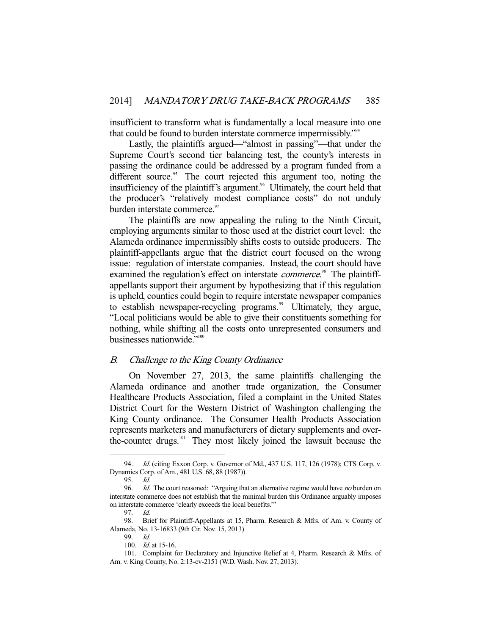insufficient to transform what is fundamentally a local measure into one that could be found to burden interstate commerce impermissibly."94

 Lastly, the plaintiffs argued—"almost in passing"—that under the Supreme Court's second tier balancing test, the county's interests in passing the ordinance could be addressed by a program funded from a different source.<sup>95</sup> The court rejected this argument too, noting the insufficiency of the plaintiff's argument.<sup>96</sup> Ultimately, the court held that the producer's "relatively modest compliance costs" do not unduly burden interstate commerce.<sup>97</sup>

 The plaintiffs are now appealing the ruling to the Ninth Circuit, employing arguments similar to those used at the district court level: the Alameda ordinance impermissibly shifts costs to outside producers. The plaintiff-appellants argue that the district court focused on the wrong issue: regulation of interstate companies. Instead, the court should have examined the regulation's effect on interstate *commerce*.<sup>98</sup> The plaintiffappellants support their argument by hypothesizing that if this regulation is upheld, counties could begin to require interstate newspaper companies to establish newspaper-recycling programs.<sup>99</sup> Ultimately, they argue, "Local politicians would be able to give their constituents something for nothing, while shifting all the costs onto unrepresented consumers and businesses nationwide."<sup>100</sup>

#### B. Challenge to the King County Ordinance

 On November 27, 2013, the same plaintiffs challenging the Alameda ordinance and another trade organization, the Consumer Healthcare Products Association, filed a complaint in the United States District Court for the Western District of Washington challenging the King County ordinance. The Consumer Health Products Association represents marketers and manufacturers of dietary supplements and overthe-counter drugs.101 They most likely joined the lawsuit because the

<sup>94.</sup> *Id.* (citing Exxon Corp. v. Governor of Md., 437 U.S. 117, 126 (1978); CTS Corp. v. Dynamics Corp. of Am., 481 U.S. 68, 88 (1987)).

 <sup>95.</sup> Id.

<sup>96.</sup> *Id.* The court reasoned: "Arguing that an alternative regime would have no burden on interstate commerce does not establish that the minimal burden this Ordinance arguably imposes on interstate commerce 'clearly exceeds the local benefits.'"

 <sup>97.</sup> Id.

 <sup>98.</sup> Brief for Plaintiff-Appellants at 15, Pharm. Research & Mfrs. of Am. v. County of Alameda, No. 13-16833 (9th Cir. Nov. 15, 2013).

 <sup>99.</sup> Id.

 <sup>100.</sup> Id. at 15-16.

 <sup>101.</sup> Complaint for Declaratory and Injunctive Relief at 4, Pharm. Research & Mfrs. of Am. v. King County, No. 2:13-cv-2151 (W.D. Wash. Nov. 27, 2013).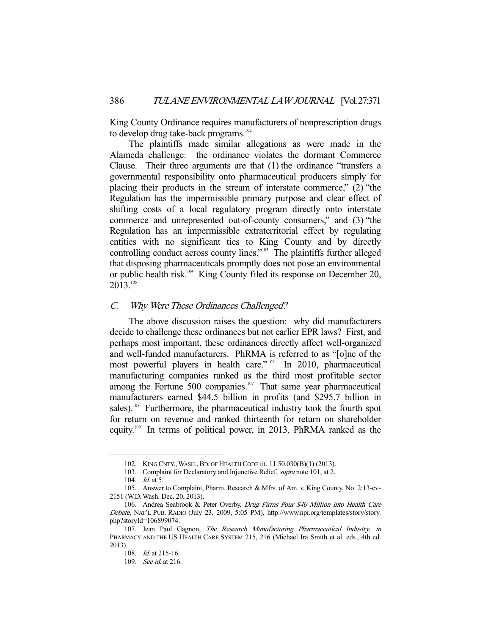King County Ordinance requires manufacturers of nonprescription drugs to develop drug take-back programs.<sup>102</sup>

 The plaintiffs made similar allegations as were made in the Alameda challenge: the ordinance violates the dormant Commerce Clause. Their three arguments are that (1) the ordinance "transfers a governmental responsibility onto pharmaceutical producers simply for placing their products in the stream of interstate commerce," (2) "the Regulation has the impermissible primary purpose and clear effect of shifting costs of a local regulatory program directly onto interstate commerce and unrepresented out-of-county consumers," and (3) "the Regulation has an impermissible extraterritorial effect by regulating entities with no significant ties to King County and by directly controlling conduct across county lines."103 The plaintiffs further alleged that disposing pharmaceuticals promptly does not pose an environmental or public health risk.<sup>104</sup> King County filed its response on December 20, 2013.105

### C. Why Were These Ordinances Challenged?

 The above discussion raises the question: why did manufacturers decide to challenge these ordinances but not earlier EPR laws? First, and perhaps most important, these ordinances directly affect well-organized and well-funded manufacturers. PhRMA is referred to as "[o]ne of the most powerful players in health care."<sup>106</sup> In 2010, pharmaceutical manufacturing companies ranked as the third most profitable sector among the Fortune 500 companies.<sup>107</sup> That same year pharmaceutical manufacturers earned \$44.5 billion in profits (and \$295.7 billion in sales).<sup>108</sup> Furthermore, the pharmaceutical industry took the fourth spot for return on revenue and ranked thirteenth for return on shareholder equity.109 In terms of political power, in 2013, PhRMA ranked as the

 <sup>102.</sup> KING CNTY.,WASH.,BD. OF HEALTH CODE tit. 11.50.030(B)(1) (2013).

 <sup>103.</sup> Complaint for Declaratory and Injunctive Relief, supra note 101, at 2.

<sup>104.</sup> *Id.* at 5.

 <sup>105.</sup> Answer to Complaint, Pharm. Research & Mfrs. of Am. v. King County, No. 2:13-cv-2151 (W.D. Wash. Dec. 20, 2013).

 <sup>106.</sup> Andrea Seabrook & Peter Overby, Drug Firms Pour \$40 Million into Health Care Debate, NAT'L PUB. RADIO (July 23, 2009, 5:05 PM), http://www.npr.org/templates/story/story. php?storyId=106899074.

<sup>107.</sup> Jean Paul Gagnon, The Research Manufacturing Pharmaceutical Industry, in PHARMACY AND THE US HEALTH CARE SYSTEM 215, 216 (Michael Ira Smith et al. eds., 4th ed. 2013).

 <sup>108.</sup> Id. at 215-16.

 <sup>109.</sup> See id. at 216.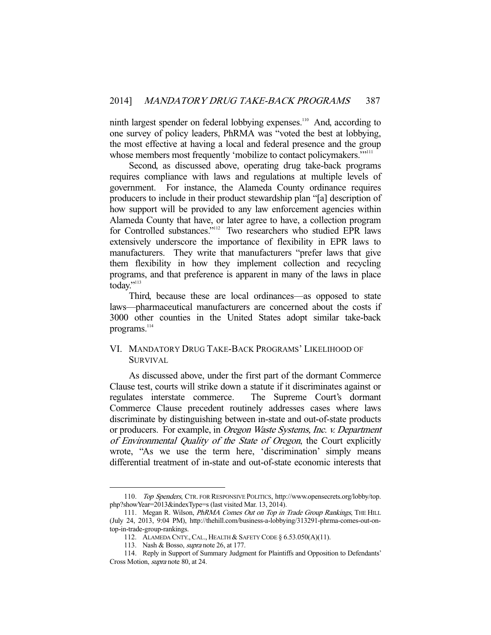ninth largest spender on federal lobbying expenses.<sup>110</sup> And, according to one survey of policy leaders, PhRMA was "voted the best at lobbying, the most effective at having a local and federal presence and the group whose members most frequently 'mobilize to contact policymakers.'"<sup>111</sup>

 Second, as discussed above, operating drug take-back programs requires compliance with laws and regulations at multiple levels of government. For instance, the Alameda County ordinance requires producers to include in their product stewardship plan "[a] description of how support will be provided to any law enforcement agencies within Alameda County that have, or later agree to have, a collection program for Controlled substances."112 Two researchers who studied EPR laws extensively underscore the importance of flexibility in EPR laws to manufacturers. They write that manufacturers "prefer laws that give them flexibility in how they implement collection and recycling programs, and that preference is apparent in many of the laws in place today."<sup>113</sup>

 Third, because these are local ordinances—as opposed to state laws—pharmaceutical manufacturers are concerned about the costs if 3000 other counties in the United States adopt similar take-back programs.<sup>114</sup>

## VI. MANDATORY DRUG TAKE-BACK PROGRAMS' LIKELIHOOD OF SURVIVAL

 As discussed above, under the first part of the dormant Commerce Clause test, courts will strike down a statute if it discriminates against or regulates interstate commerce. The Supreme Court's dormant Commerce Clause precedent routinely addresses cases where laws discriminate by distinguishing between in-state and out-of-state products or producers. For example, in Oregon Waste Systems, Inc. v. Department of Environmental Quality of the State of Oregon, the Court explicitly wrote, "As we use the term here, 'discrimination' simply means differential treatment of in-state and out-of-state economic interests that

 <sup>110.</sup> Top Spenders, CTR. FOR RESPONSIVE POLITICS, http://www.opensecrets.org/lobby/top. php?showYear=2013&indexType=s (last visited Mar. 13, 2014).

<sup>111.</sup> Megan R. Wilson, PhRMA Comes Out on Top in Trade Group Rankings, THE HILL (July 24, 2013, 9:04 PM), http://thehill.com/business-a-lobbying/313291-phrma-comes-out-ontop-in-trade-group-rankings.

 <sup>112.</sup> ALAMEDA CNTY.,CAL., HEALTH & SAFETY CODE § 6.53.050(A)(11).

 <sup>113.</sup> Nash & Bosso, supra note 26, at 177.

 <sup>114.</sup> Reply in Support of Summary Judgment for Plaintiffs and Opposition to Defendants' Cross Motion, supra note 80, at 24.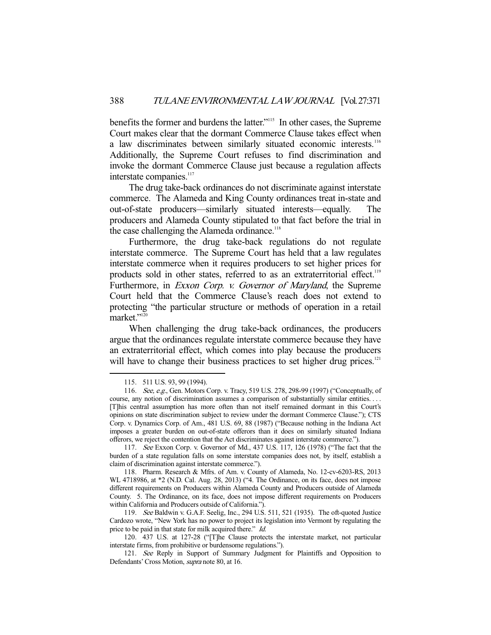benefits the former and burdens the latter."115 In other cases, the Supreme Court makes clear that the dormant Commerce Clause takes effect when a law discriminates between similarly situated economic interests.<sup>116</sup> Additionally, the Supreme Court refuses to find discrimination and invoke the dormant Commerce Clause just because a regulation affects interstate companies.<sup>117</sup>

 The drug take-back ordinances do not discriminate against interstate commerce. The Alameda and King County ordinances treat in-state and out-of-state producers—similarly situated interests—equally. The producers and Alameda County stipulated to that fact before the trial in the case challenging the Alameda ordinance.<sup>118</sup>

 Furthermore, the drug take-back regulations do not regulate interstate commerce. The Supreme Court has held that a law regulates interstate commerce when it requires producers to set higher prices for products sold in other states, referred to as an extraterritorial effect.<sup>119</sup> Furthermore, in *Exxon Corp. v. Governor of Maryland*, the Supreme Court held that the Commerce Clause's reach does not extend to protecting "the particular structure or methods of operation in a retail market."<sup>120</sup>

 When challenging the drug take-back ordinances, the producers argue that the ordinances regulate interstate commerce because they have an extraterritorial effect, which comes into play because the producers will have to change their business practices to set higher drug prices.<sup>121</sup>

-

 119. See Baldwin v. G.A.F. Seelig, Inc., 294 U.S. 511, 521 (1935). The oft-quoted Justice Cardozo wrote, "New York has no power to project its legislation into Vermont by regulating the price to be paid in that state for milk acquired there." Id.

 <sup>115. 511</sup> U.S. 93, 99 (1994).

<sup>116.</sup> See, e.g., Gen. Motors Corp. v. Tracy, 519 U.S. 278, 298-99 (1997) ("Conceptually, of course, any notion of discrimination assumes a comparison of substantially similar entities. . . . [T]his central assumption has more often than not itself remained dormant in this Court's opinions on state discrimination subject to review under the dormant Commerce Clause."); CTS Corp. v. Dynamics Corp. of Am., 481 U.S. 69, 88 (1987) ("Because nothing in the Indiana Act imposes a greater burden on out-of-state offerors than it does on similarly situated Indiana offerors, we reject the contention that the Act discriminates against interstate commerce.").

 <sup>117.</sup> See Exxon Corp. v. Governor of Md., 437 U.S. 117, 126 (1978) ("The fact that the burden of a state regulation falls on some interstate companies does not, by itself, establish a claim of discrimination against interstate commerce.").

 <sup>118.</sup> Pharm. Research & Mfrs. of Am. v. County of Alameda, No. 12-cv-6203-RS, 2013 WL 4718986, at \*2 (N.D. Cal. Aug. 28, 2013) ("4. The Ordinance, on its face, does not impose different requirements on Producers within Alameda County and Producers outside of Alameda County. 5. The Ordinance, on its face, does not impose different requirements on Producers within California and Producers outside of California.").

 <sup>120. 437</sup> U.S. at 127-28 ("[T]he Clause protects the interstate market, not particular interstate firms, from prohibitive or burdensome regulations.").

<sup>121.</sup> See Reply in Support of Summary Judgment for Plaintiffs and Opposition to Defendants' Cross Motion, supra note 80, at 16.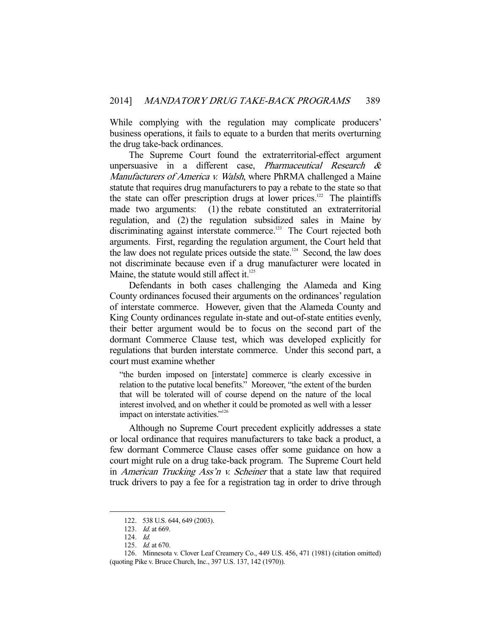While complying with the regulation may complicate producers' business operations, it fails to equate to a burden that merits overturning the drug take-back ordinances.

 The Supreme Court found the extraterritorial-effect argument unpersuasive in a different case, *Pharmaceutical Research &* Manufacturers of America v. Walsh, where PhRMA challenged a Maine statute that requires drug manufacturers to pay a rebate to the state so that the state can offer prescription drugs at lower prices.<sup>122</sup> The plaintiffs made two arguments: (1) the rebate constituted an extraterritorial regulation, and (2) the regulation subsidized sales in Maine by discriminating against interstate commerce.<sup>123</sup> The Court rejected both arguments. First, regarding the regulation argument, the Court held that the law does not regulate prices outside the state.<sup>124</sup> Second, the law does not discriminate because even if a drug manufacturer were located in Maine, the statute would still affect it. $125$ 

 Defendants in both cases challenging the Alameda and King County ordinances focused their arguments on the ordinances' regulation of interstate commerce. However, given that the Alameda County and King County ordinances regulate in-state and out-of-state entities evenly, their better argument would be to focus on the second part of the dormant Commerce Clause test, which was developed explicitly for regulations that burden interstate commerce. Under this second part, a court must examine whether

"the burden imposed on [interstate] commerce is clearly excessive in relation to the putative local benefits." Moreover, "the extent of the burden that will be tolerated will of course depend on the nature of the local interest involved, and on whether it could be promoted as well with a lesser impact on interstate activities."<sup>126</sup>

 Although no Supreme Court precedent explicitly addresses a state or local ordinance that requires manufacturers to take back a product, a few dormant Commerce Clause cases offer some guidance on how a court might rule on a drug take-back program. The Supreme Court held in *American Trucking Ass'n v. Scheiner* that a state law that required truck drivers to pay a fee for a registration tag in order to drive through

 <sup>122. 538</sup> U.S. 644, 649 (2003).

 <sup>123.</sup> Id. at 669.

 <sup>124.</sup> Id.

 <sup>125.</sup> Id. at 670.

 <sup>126.</sup> Minnesota v. Clover Leaf Creamery Co., 449 U.S. 456, 471 (1981) (citation omitted) (quoting Pike v. Bruce Church, Inc., 397 U.S. 137, 142 (1970)).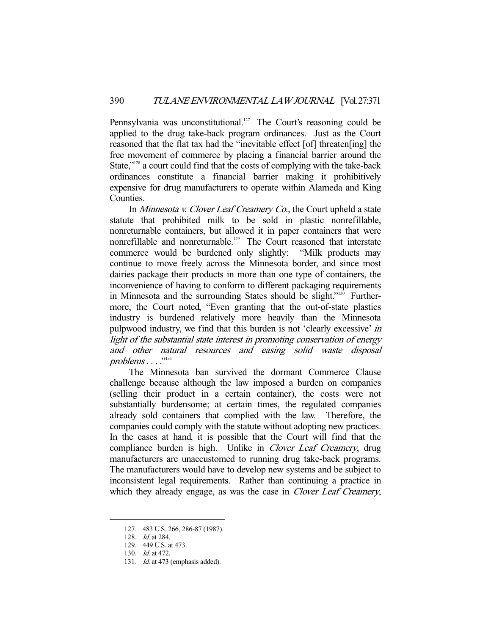Pennsylvania was unconstitutional.<sup>127</sup> The Court's reasoning could be applied to the drug take-back program ordinances. Just as the Court reasoned that the flat tax had the "inevitable effect [of] threaten[ing] the free movement of commerce by placing a financial barrier around the State,"<sup>128</sup> a court could find that the costs of complying with the take-back ordinances constitute a financial barrier making it prohibitively expensive for drug manufacturers to operate within Alameda and King Counties.

In *Minnesota v. Clover Leaf Creamery Co.*, the Court upheld a state statute that prohibited milk to be sold in plastic nonrefillable, nonreturnable containers, but allowed it in paper containers that were nonrefillable and nonreturnable.<sup>129</sup> The Court reasoned that interstate commerce would be burdened only slightly: "Milk products may continue to move freely across the Minnesota border, and since most dairies package their products in more than one type of containers, the inconvenience of having to conform to different packaging requirements in Minnesota and the surrounding States should be slight."<sup>130</sup> Furthermore, the Court noted, "Even granting that the out-of-state plastics industry is burdened relatively more heavily than the Minnesota pulpwood industry, we find that this burden is not 'clearly excessive' in light of the substantial state interest in promoting conservation of energy and other natural resources and easing solid waste disposal  $problems \dots$ ."<sup>131</sup>

 The Minnesota ban survived the dormant Commerce Clause challenge because although the law imposed a burden on companies (selling their product in a certain container), the costs were not substantially burdensome; at certain times, the regulated companies already sold containers that complied with the law. Therefore, the companies could comply with the statute without adopting new practices. In the cases at hand, it is possible that the Court will find that the compliance burden is high. Unlike in *Clover Leaf Creamery*, drug manufacturers are unaccustomed to running drug take-back programs. The manufacturers would have to develop new systems and be subject to inconsistent legal requirements. Rather than continuing a practice in which they already engage, as was the case in *Clover Leaf Creamery*,

 <sup>127. 483</sup> U.S. 266, 286-87 (1987).

<sup>128.</sup> *Id.* at 284.

 <sup>129. 449</sup> U.S. at 473.

 <sup>130.</sup> Id. at 472.

<sup>131.</sup> *Id.* at 473 (emphasis added).